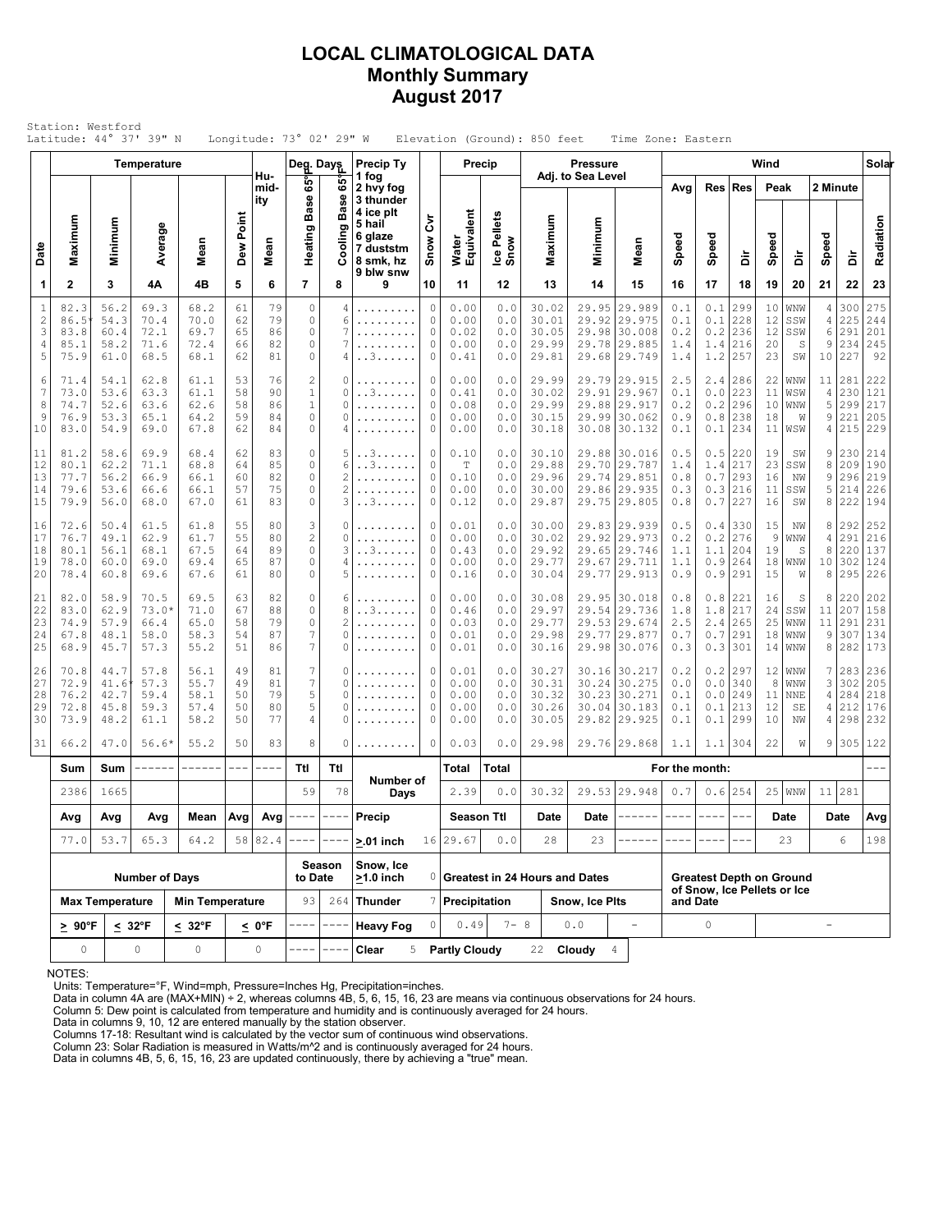## **LOCAL CLIMATOLOGICAL DATA Monthly Summary August 2017**

| Station: Westford<br>Latitude: 44° 37' 39" N<br>Longitude: $73^\circ$ 02' 29" W<br>Elevation (Ground): 850 feet<br>Time Zone: Eastern<br><b>Precip</b> |                                      |                                                |                                         |                                      |                            |                            |                                                                     |                                                 |                                                          |                       |                                             |                                   |                                           |                   |                                                                              |                                     |                                   |                                                                |                            |                                      |                         |                                    |                                 |
|--------------------------------------------------------------------------------------------------------------------------------------------------------|--------------------------------------|------------------------------------------------|-----------------------------------------|--------------------------------------|----------------------------|----------------------------|---------------------------------------------------------------------|-------------------------------------------------|----------------------------------------------------------|-----------------------|---------------------------------------------|-----------------------------------|-------------------------------------------|-------------------|------------------------------------------------------------------------------|-------------------------------------|-----------------------------------|----------------------------------------------------------------|----------------------------|--------------------------------------|-------------------------|------------------------------------|---------------------------------|
|                                                                                                                                                        |                                      | Temperature                                    |                                         | Deg. Days                            |                            | Precip Ty                  |                                                                     |                                                 |                                                          |                       | <b>Pressure</b>                             |                                   |                                           |                   |                                                                              | Wind                                |                                   |                                                                |                            | Solar                                |                         |                                    |                                 |
|                                                                                                                                                        |                                      |                                                |                                         |                                      |                            | Hu-<br>mid-<br>ity         | es°<br><b>Base</b>                                                  | ဖိ<br>Ф<br>Bas                                  | 1 fog<br>2 hvy fog<br>3 thunder<br>4 ice plt             |                       |                                             |                                   |                                           | Adj. to Sea Level |                                                                              | Avg                                 | Res                               | <b>Res</b>                                                     | Peak                       |                                      | 2 Minute                |                                    |                                 |
| Date                                                                                                                                                   | Maximum                              | Minimum                                        | Average                                 | Mean                                 | Dew Point                  | Mean                       | Heating                                                             | Cooling                                         | 5 hail<br>6 glaze<br>7 duststm<br>8 smk, hz<br>9 blw snw | ξ<br>Snow             | Water<br>Equivalent                         | Ice Pellets<br>Snow               | Maximum                                   | Minimum           | Mean                                                                         | Speed                               | Speed                             | à                                                              | Speed                      | à                                    | Speed                   | ă                                  | Radiation                       |
| 1                                                                                                                                                      | $\mathbf{2}$                         | 3                                              | 4A                                      | 4B                                   | 5                          | 6                          | $\overline{7}$                                                      | 8                                               | 9                                                        | 10                    | 11                                          | 12                                | 13                                        | 14                | 15                                                                           | 16                                  | 17                                | 18                                                             | 19                         | 20                                   | 21                      | 22                                 | 23                              |
| $\mathbf{1}$<br>$\sqrt{2}$<br>3<br>4<br>5                                                                                                              | 82.3<br>86.5<br>83.8<br>85.1<br>75.9 | 56.2<br>54.3<br>60.4<br>58.2<br>61.0           | 69.3<br>70.4<br>72.1<br>71.6<br>68.5    | 68.2<br>70.0<br>69.7<br>72.4<br>68.1 | 61<br>62<br>65<br>66<br>62 | 79<br>79<br>86<br>82<br>81 | $\mathbb O$<br>$\circ$<br>$\circ$<br>$\circ$<br>$\Omega$            | 4<br>6<br>7<br>7<br>4                           | .<br>.<br>.<br>. . 3.                                    | 0<br>0<br>0<br>0<br>0 | 0.00<br>0.00<br>0.02<br>0.00<br>0.41        | 0.0<br>0.0<br>0.0<br>0.0<br>0.0   | 30.02<br>30.01<br>30.05<br>29.99<br>29.81 |                   | 29.95 29.989<br>29.92 29.975<br>29.98 30.008<br>29.78 29.885<br>29.68 29.749 | 0.1<br>0.1<br>0.2<br>1.4<br>1.4     | 0.1<br>0.1<br>0.2<br>1.4<br>1.2   | 299<br>228<br>236<br>216<br>257                                | 10<br>12<br>12<br>20<br>23 | WNW<br>SSW<br>SSW<br>S<br>SW         | 4<br>4<br>6<br>9        | 300<br>225<br>291<br>234<br>10 227 | 275<br>244<br>201<br>245<br>92  |
| 6<br>7<br>8<br>9<br>10                                                                                                                                 | 71.4<br>73.0<br>74.7<br>76.9<br>83.0 | 54.1<br>53.6<br>52.6<br>53.3<br>54.9           | 62.8<br>63.3<br>63.6<br>65.1<br>69.0    | 61.1<br>61.1<br>62.6<br>64.2<br>67.8 | 53<br>58<br>58<br>59<br>62 | 76<br>90<br>86<br>84<br>84 | $\overline{c}$<br>$1\,$<br>$\mathbf{1}$<br>$\circ$<br>$\circ$       | 0<br>0<br>0<br>0<br>4                           | .<br>. . 3<br>.<br>.                                     | 0<br>0<br>0<br>0<br>0 | 0.00<br>0.41<br>0.08<br>0.00<br>0.00        | 0.0<br>0.0<br>0.0<br>0.0<br>0.0   | 29.99<br>30.02<br>29.99<br>30.15<br>30.18 | 29.91<br>29.99    | 29.79 29.915<br>29.967<br>29.88 29.917<br>30.062<br>30.08 30.132             | 2.5<br>0.1<br>0.2<br>0.9<br>$0.1\,$ | 2.4<br>0.0<br>0.2<br>$0.8$<br>0.1 | 286<br>223<br>296<br>238<br>234                                | 22<br>11<br>10<br>18<br>11 | WNW<br>WSW<br>WNW<br>W<br>WSW        | 11 <br>4<br>5<br>9<br>4 | 281<br>230<br>299<br>221<br>215    | 222<br>121<br>217<br>205<br>229 |
| 11<br>12<br>13<br>14<br>15                                                                                                                             | 81.2<br>80.1<br>77.7<br>79.6<br>79.9 | 58.6<br>62.2<br>56.2<br>53.6<br>56.0           | 69.9<br>71.1<br>66.9<br>66.6<br>68.0    | 68.4<br>68.8<br>66.1<br>66.1<br>67.0 | 62<br>64<br>60<br>57<br>61 | 83<br>85<br>82<br>75<br>83 | $\circ$<br>$\circ$<br>$\Omega$<br>$\circ$<br>$\circ$                | 5<br>6<br>$\overline{c}$<br>$\overline{c}$<br>3 | . . 3<br>. . 3<br>.<br>.<br>. . 3.                       | 0<br>0<br>0<br>0<br>0 | 0.10<br>$\mathbb T$<br>0.10<br>0.00<br>0.12 | 0.0<br>0.0<br>0.0<br>0.0<br>0.0   | 30.10<br>29.88<br>29.96<br>30.00<br>29.87 |                   | 29.88 30.016<br>29.70 29.787<br>29.74 29.851<br>29.86 29.935<br>29.75 29.805 | 0.5<br>1.4<br>0.8<br>0.3<br>0.8     | 0.5<br>1.4<br>0.7<br>0.3<br>0.7   | 220<br>217<br>293<br>216<br>227                                | 19<br>23<br>16<br>11<br>16 | SW<br>SSW<br>NW<br>SSW<br>SW         | 9<br>8<br>9<br>5<br>8   | 230<br>209<br>296<br>214<br>222    | 214<br>190<br>219<br>226<br>194 |
| 16<br>17<br>18<br>19<br>20                                                                                                                             | 72.6<br>76.7<br>80.1<br>78.0<br>78.4 | 50.4<br>49.1<br>56.1<br>60.0<br>60.8           | 61.5<br>62.9<br>68.1<br>69.0<br>69.6    | 61.8<br>61.7<br>67.5<br>69.4<br>67.6 | 55<br>55<br>64<br>65<br>61 | 80<br>80<br>89<br>87<br>80 | 3<br>$\overline{c}$<br>$\circ$<br>$\circ$<br>$\circ$                | 0<br>0<br>3<br>4<br>5                           | .<br>.<br>. . 3<br>.                                     | 0<br>0<br>0<br>0<br>0 | 0.01<br>0.00<br>0.43<br>0.00<br>0.16        | 0.0<br>0.0<br>0.0<br>$0.0$<br>0.0 | 30.00<br>30.02<br>29.92<br>29.77<br>30.04 |                   | 29.83 29.939<br>29.92 29.973<br>29.65 29.746<br>29.67 29.711<br>29.77 29.913 | 0.5<br>0.2<br>1.1<br>1.1<br>0.9     | 0.4<br>0.2<br>1.1<br>0.9<br>0.9   | 330<br>276<br>204<br>264<br>291                                | 15<br>9<br>19<br>18<br>15  | ΝW<br>WNW<br>S<br>WNW<br>W           | 8<br>4<br>8<br>8        | 292<br>291<br>220<br>10 302<br>295 | 252<br>216<br>137<br>124<br>226 |
| 21<br>22<br>23<br>24<br>25                                                                                                                             | 82.0<br>83.0<br>74.9<br>67.8<br>68.9 | 58.9<br>62.9<br>57.9<br>48.1<br>45.7           | 70.5<br>$73.0*$<br>66.4<br>58.0<br>57.3 | 69.5<br>71.0<br>65.0<br>58.3<br>55.2 | 63<br>67<br>58<br>54<br>51 | 82<br>88<br>79<br>87<br>86 | $\circ$<br>$\circ$<br>$\circ$<br>$\boldsymbol{7}$<br>$\overline{7}$ | 6<br>8<br>$\overline{c}$<br>0<br>0              | .<br>. . 3.<br>.                                         | 0<br>0<br>0<br>0<br>0 | 0.00<br>0.46<br>0.03<br>0.01<br>0.01        | 0.0<br>0.0<br>0.0<br>0.0<br>0.0   | 30.08<br>29.97<br>29.77<br>29.98<br>30.16 |                   | 29.95 30.018<br>29.54 29.736<br>29.53 29.674<br>29.77 29.877<br>29.98 30.076 | 0.8<br>1.8<br>2.5<br>0.7<br>0.3     | 0.8<br>1.8<br>2.4<br>0.7<br>0.3   | 221<br>217<br>265<br>291<br>301                                | 16<br>24<br>25<br>18<br>14 | S<br>SSW<br>WNW<br>WNW<br>WNW        | 8<br>11<br>11<br>9<br>8 | 220<br>207<br>291<br>307<br>282    | 202<br>158<br>231<br>134<br>173 |
| 26<br>27<br>28<br>29<br>30                                                                                                                             | 70.8<br>72.9<br>76.2<br>72.8<br>73.9 | 44.7<br>$41.6^{\circ}$<br>42.7<br>45.8<br>48.2 | 57.8<br>57.3<br>59.4<br>59.3<br>61.1    | 56.1<br>55.7<br>58.1<br>57.4<br>58.2 | 49<br>49<br>50<br>50<br>50 | 81<br>81<br>79<br>80<br>77 | 7<br>$\overline{7}$<br>5<br>5<br>$\overline{4}$                     | 0<br>0<br>0<br>0<br>0                           | .                                                        | 0<br>0<br>0<br>0<br>0 | 0.01<br>0.00<br>0.00<br>0.00<br>0.00        | 0.0<br>0.0<br>0.0<br>0.0<br>0.0   | 30.27<br>30.31<br>30.32<br>30.26<br>30.05 | 30.24             | 30.16 30.217<br>30.275<br>30.23 30.271<br>30.04 30.183<br>29.82 29.925       | 0.2<br>0.0<br>0.1<br>0.1<br>0.1     | 0.2<br>0.0<br>0.0<br>0.1<br>0.1   | 297<br>340<br>249<br>213<br>299                                | 12<br>8<br>11<br>12<br>10  | WNW<br>WNW<br><b>NNE</b><br>SE<br>ΝW | 3<br>4<br>4<br>4        | 7 283<br>302<br>284<br>212<br>298  | 236<br>205<br>218<br>176<br>232 |
| 31                                                                                                                                                     | 66.2                                 | 47.0                                           | $56.6*$                                 | 55.2                                 | 50                         | 83                         | 8                                                                   | 0                                               | .                                                        | 0                     | 0.03                                        | 0.0                               | 29.98                                     |                   | 29.76 29.868                                                                 | 1.1                                 | 1.1                               | 304                                                            | 22                         | W                                    |                         | 9 305                              | 122                             |
|                                                                                                                                                        | Sum                                  | Sum                                            |                                         | -------                              | $---$                      | ----                       | Ttl                                                                 | Ttl                                             | Number of                                                |                       | Total                                       | Total                             |                                           |                   |                                                                              | For the month:                      |                                   |                                                                |                            |                                      |                         |                                    |                                 |
|                                                                                                                                                        | 2386                                 | 1665                                           |                                         |                                      |                            |                            | 59                                                                  | 78                                              | Days                                                     |                       | 2.39                                        | 0.0                               | 30.32                                     |                   | 29.53 29.948                                                                 | 0.7                                 | 0.6                               | 254                                                            |                            | $25$ WNW                             |                         | 11 281                             |                                 |
|                                                                                                                                                        | Avg                                  | Avg                                            | Avg                                     | Mean                                 |                            | $Avg$ Avg                  | $\hspace{0.1mm}-\hspace{0.1mm}-\hspace{0.1mm}$                      |                                                 | Precip                                                   |                       | Season Ttl                                  |                                   | Date                                      | Date              |                                                                              |                                     |                                   |                                                                |                            | Date                                 |                         | Date                               | Avg                             |
|                                                                                                                                                        | 77.0                                 | 53.7                                           | 65.3                                    | 64.2                                 |                            | 58 82.4                    |                                                                     | Season                                          | $> 01$ inch<br>Snow, Ice                                 |                       | 16 29.67                                    | 0.0                               | 28                                        | 23                |                                                                              |                                     |                                   |                                                                |                            | 23                                   |                         | 6                                  | 198                             |
|                                                                                                                                                        |                                      |                                                | <b>Number of Days</b>                   |                                      |                            |                            | to Date                                                             |                                                 | >1.0 inch                                                |                       |                                             |                                   | 0 Greatest in 24 Hours and Dates          |                   |                                                                              |                                     |                                   | <b>Greatest Depth on Ground</b><br>of Snow, Ice Pellets or Ice |                            |                                      |                         |                                    |                                 |
|                                                                                                                                                        |                                      | <b>Max Temperature</b>                         |                                         | <b>Min Temperature</b>               |                            |                            | 93                                                                  | 264                                             | <b>Thunder</b>                                           |                       | 7 Precipitation                             |                                   |                                           | Snow, Ice Plts    |                                                                              |                                     | and Date                          |                                                                |                            |                                      |                         |                                    |                                 |
|                                                                                                                                                        | $\geq 90^{\circ}F$                   |                                                | $< 32^{\circ}F$                         | $< 32^{\circ}F$                      |                            | < 0°F                      | $-- - -$                                                            | $- -$                                           | <b>Heavy Fog</b>                                         | 0                     | 0.49                                        | $7 - 8$                           |                                           | 0.0               | $\equiv$                                                                     |                                     | $\circ$                           |                                                                |                            |                                      | $\sim$                  |                                    |                                 |
|                                                                                                                                                        | $\mathbb O$<br>$\mathbb O$           |                                                |                                         | 0                                    |                            | 0                          |                                                                     |                                                 | Clear<br>5                                               |                       | <b>Partly Cloudy</b>                        |                                   | 22 Cloudy                                 |                   | 4                                                                            |                                     |                                   |                                                                |                            |                                      |                         |                                    |                                 |

NOTES:

Units: Temperature=°F, Wind=mph, Pressure=Inches Hg, Precipitation=inches. Data in column 4A are (MAX+MIN) ÷ 2, whereas columns 4B, 5, 6, 15, 16, 23 are means via continuous observations for 24 hours.

Column 5: Dew point is calculated from temperature and humidity and is continuously averaged for 24 hours.

Data in columns 9, 10, 12 are entered manually by the station observer. Columns 17-18: Resultant wind is calculated by the vector sum of continuous wind observations.

Column 23: Solar Radiation is measured in Watts/m^2 and is continuously averaged for 24 hours.

Data in columns 4B, 5, 6, 15, 16, 23 are updated continuously, there by achieving a "true" mean.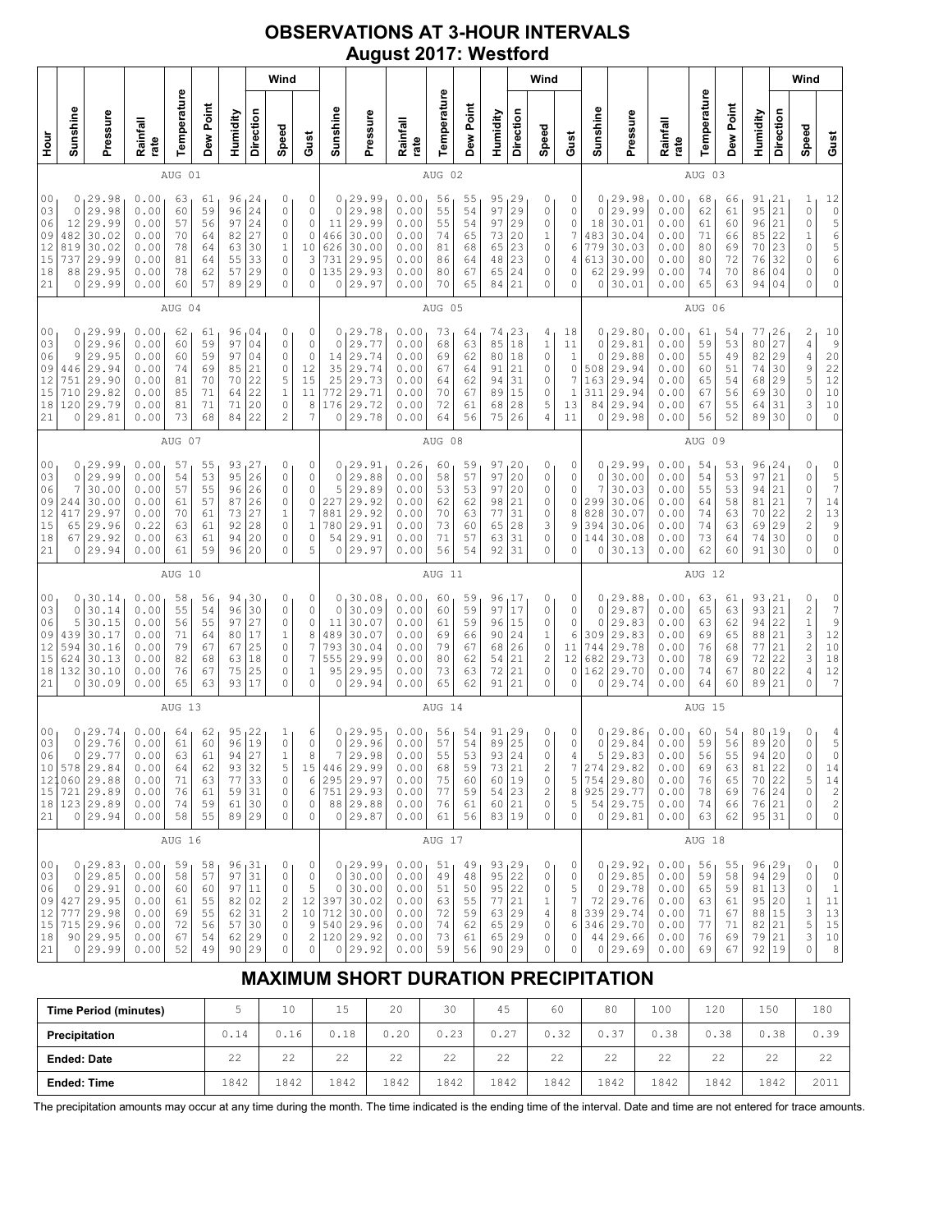## **OBSERVATIONS AT 3-HOUR INTERVALS August 2017: Westford**

|                                                           |                                                        |                                                                                                       |                                                              |                                              |                                              |                                                              |                                              | Wind                                                      |                                                                    |                                                           |                                                                                                      |                                                              |                                              |                                              |                                                                           |                                              | Wind                                              |                                                     |                                              |                                                                                             |                                                              |                                              |                                              |                                                                       |                                                | Wind                                                                                                    |                                                                                                   |
|-----------------------------------------------------------|--------------------------------------------------------|-------------------------------------------------------------------------------------------------------|--------------------------------------------------------------|----------------------------------------------|----------------------------------------------|--------------------------------------------------------------|----------------------------------------------|-----------------------------------------------------------|--------------------------------------------------------------------|-----------------------------------------------------------|------------------------------------------------------------------------------------------------------|--------------------------------------------------------------|----------------------------------------------|----------------------------------------------|---------------------------------------------------------------------------|----------------------------------------------|---------------------------------------------------|-----------------------------------------------------|----------------------------------------------|---------------------------------------------------------------------------------------------|--------------------------------------------------------------|----------------------------------------------|----------------------------------------------|-----------------------------------------------------------------------|------------------------------------------------|---------------------------------------------------------------------------------------------------------|---------------------------------------------------------------------------------------------------|
| 들<br>모                                                    | Sunshine                                               | Pressure                                                                                              | Rainfall<br>rate                                             | Temperature                                  | Dew Point                                    | Humidity                                                     | Direction                                    | Speed                                                     | Gust                                                               | Sunshine                                                  | Pressure                                                                                             | Rainfall<br>rate                                             | Temperature                                  | Dew Point                                    | Humidity                                                                  | Direction                                    | Speed                                             | Gust                                                | Sunshine                                     | Pressure                                                                                    | Rainfall<br>rate                                             | Temperature                                  | Dew Point                                    | Humidity                                                              | Direction                                      | Speed                                                                                                   | Gust                                                                                              |
|                                                           |                                                        |                                                                                                       |                                                              | AUG 01                                       |                                              |                                                              |                                              |                                                           |                                                                    |                                                           |                                                                                                      |                                                              | AUG 02                                       |                                              |                                                                           |                                              |                                                   |                                                     |                                              |                                                                                             |                                                              | AUG 03                                       |                                              |                                                                       |                                                |                                                                                                         |                                                                                                   |
| 0 <sub>0</sub><br>03<br>06<br>09<br>12<br>15<br>18<br>21  | 0<br>$\mathbf 0$<br>12<br>482<br>819<br>737<br>88<br>0 | 29.98<br>29.98<br>29.99<br>30.02<br>30.02<br>29.99<br>29.95<br>29.99                                  | 0.00<br>0.00<br>0.00<br>0.00<br>0.00<br>0.00<br>0.00<br>0.00 | 63<br>60<br>57<br>70<br>78<br>81<br>78<br>60 | 61<br>59<br>56<br>64<br>64<br>64<br>62<br>57 | 96<br>96<br>97<br>82<br>63<br>55<br>57<br>89                 | 24<br>24<br>24<br>27<br>30<br>33<br>29<br>29 | 0<br>0<br>0<br>0<br>1<br>0<br>0<br>0                      | 0<br>$\circ$<br>$\circ$<br>$\mathbb O$<br>10<br>3<br>0<br>0        | 0<br>$\circ$<br>11<br>466<br>626<br>731<br>135<br>$\circ$ | 129.99<br>29.98<br>29.99<br>30.00<br>30.00<br>29.95<br>29.93<br>29.97                                | 0.00<br>0.00<br>0.00<br>0.00<br>0.00<br>0.00<br>0.00<br>0.00 | 56<br>55<br>55<br>74<br>81<br>86<br>80<br>70 | 55<br>54<br>54<br>65<br>68<br>64<br>67<br>65 | $\frac{95}{97}$ $\Big  \frac{29}{29}$<br>97<br>73<br>65<br>48<br>65<br>84 | 29<br>20<br>23<br>23<br>24<br>21             | 0<br>0<br>0<br>1<br>0<br>0<br>0<br>0              | 0<br>0<br>0<br>7<br>6<br>4<br>0<br>0                | 0<br>0<br>18<br>483<br>779<br>613<br>62<br>0 | 29.98<br>29.99<br>30.01<br>30.04<br>30.03<br>30.00<br>29.99<br>30.01                        | 0.00<br>0.00<br>0.00<br>0.00<br>0.00<br>0.00<br>0.00<br>0.00 | 68<br>62<br>61<br>71<br>80<br>80<br>74<br>65 | 66<br>61<br>60<br>66<br>69<br>72<br>70<br>63 | 91,21<br>95<br>96<br>85<br>70<br>76<br>86<br>94 04                    | 21<br>21<br>22<br>23<br>32<br>04               | 1<br>$\circ$<br>0<br>1<br>0<br>0<br>0<br>$\Omega$                                                       | $120$<br>5 6 5 6 5 6 5 6<br>0<br>$\circ$                                                          |
|                                                           |                                                        |                                                                                                       |                                                              | AUG 04                                       |                                              |                                                              |                                              |                                                           |                                                                    |                                                           |                                                                                                      |                                                              | AUG 05                                       |                                              |                                                                           |                                              |                                                   |                                                     |                                              |                                                                                             |                                                              | AUG 06                                       |                                              |                                                                       |                                                |                                                                                                         |                                                                                                   |
| 0 <sub>0</sub><br>03<br>06<br>09<br>12<br>15<br>18<br>21  | 0<br>0<br>9<br>446<br>751<br>710<br>120<br>0           | 29.99<br>29.96<br>29.95<br>29.94<br>29.90<br>29.82<br>29.79<br>29.81                                  | 0.00<br>0.00<br>0.00<br>0.00<br>0.00<br>0.00<br>0.00<br>0.00 | 62<br>60<br>60<br>74<br>81<br>85<br>81<br>73 | 61<br>59<br>59<br>69<br>70<br>71<br>71<br>68 | 96<br>97<br>97<br>85<br>70<br>64<br>71<br>84                 | 04<br>04<br>04<br>21<br>22<br>22<br>20<br>22 | 0<br>0<br>0<br>0<br>5<br>$1\,$<br>0<br>$\overline{c}$     | 0<br>$\circ$<br>0<br>12<br>15<br>11<br>8<br>7                      | 0<br>$\circ$<br>14<br>35<br>25<br>772<br>176<br>$\circ$   | 29.78<br>29.77<br>29.74<br>29.74<br>29.73<br>29.71<br>29.72<br>29.78                                 | 0.00<br>0.00<br>0.00<br>0.00<br>0.00<br>0.00<br>0.00<br>0.00 | 73<br>68<br>69<br>67<br>64<br>70<br>72<br>64 | 64<br>63<br>62<br>64<br>62<br>67<br>61<br>56 | 74<br>85<br>80<br>91<br>94<br>89<br>68<br>75                              | 23<br>18<br>18<br>21<br>31<br>15<br>28<br>26 | 4<br>$\mathbf{1}$<br>0<br>0<br>0<br>0<br>5<br>4   | 18<br>11<br>1<br>0<br>7<br>$\mathbf{1}$<br>13<br>11 | 0<br>0<br>0<br>508<br>163<br>311<br>84<br>0  | 29.80<br>29.81<br>29.88<br>29.94<br>29.94<br>29.94<br>29.94<br>29.98                        | 0.00<br>0.00<br>0.00<br>0.00<br>0.00<br>0.00<br>0.00<br>0.00 | 61<br>59<br>55<br>60<br>65<br>67<br>67<br>56 | 54<br>53<br>49<br>51<br>54<br>56<br>55<br>52 | 77<br>80<br>82<br>74<br>68<br>69<br>64<br>89                          | 26<br>27<br>29<br>30<br>29<br>30<br>31<br>30   | $\overline{\mathbf{c}}$<br>$\overline{4}$<br>$\sqrt{4}$<br>9<br>5<br>0<br>3<br>$\Omega$                 | 10<br>9<br>20<br>22<br>$12$<br>$10$<br>$10$<br>0                                                  |
|                                                           |                                                        |                                                                                                       |                                                              | AUG 07                                       |                                              |                                                              |                                              |                                                           |                                                                    |                                                           |                                                                                                      |                                                              | AUG 08                                       |                                              |                                                                           |                                              |                                                   |                                                     |                                              |                                                                                             |                                                              | AUG 09                                       |                                              |                                                                       |                                                |                                                                                                         |                                                                                                   |
| 00<br>03<br>06<br>09<br>12<br>15<br>18<br>21              | 0<br>0<br>7<br>244<br>417<br>65<br>67<br>0             | 29.99<br>29.99<br>30.00<br>30.00<br>29.97<br>29.96<br>29.92<br>29.94                                  | 0.00<br>0.00<br>0.00<br>0.00<br>0.00<br>0.22<br>0.00<br>0.00 | 57<br>54<br>57<br>61<br>70<br>63<br>63<br>61 | 55<br>53<br>55<br>57<br>61<br>61<br>61<br>59 | 93<br>95<br>96<br>87<br>73<br>92<br>94<br>96                 | 27<br>26<br>26<br>26<br>27<br>28<br>20<br>20 | 0<br>0<br>0<br>0<br>$\mathbf 1$<br>0<br>0<br>0            | 0<br>0<br>0<br>0<br>$\boldsymbol{7}$<br>$\,1$<br>0<br>5            | 0<br>$\circ$<br>5<br>227<br>881<br>780<br>54<br>0         | 29.91<br>29.88<br>29.89<br>29.92<br>29.92<br>29.91<br>29.91<br>29.97                                 | 0.26<br>0.00<br>0.00<br>0.00<br>0.00<br>0.00<br>0.00<br>0.00 | 60<br>58<br>53<br>62<br>70<br>73<br>71<br>56 | 59<br>57<br>53<br>62<br>63<br>60<br>57<br>54 | 97, 20<br>97<br>97<br>98<br>77<br>65<br>63<br>92                          | 20<br>20<br>21<br>31<br>28<br>31<br>31       | 0<br>0<br>0<br>0<br>0<br>3<br>0<br>0              | 0<br>0<br>0<br>0<br>8<br>9<br>0<br>0                | 0<br>0<br>7<br>299<br>828<br>394<br>144<br>0 | 29.99<br>30.00<br>30.03<br>30.06<br>30.07<br>30.06<br>30.08<br>30.13                        | 0.00<br>0.00<br>0.00<br>0.00<br>0.00<br>0.00<br>0.00<br>0.00 | 54<br>54<br>55<br>64<br>74<br>74<br>73<br>62 | 53<br>53<br>53<br>58<br>63<br>63<br>64<br>60 | 96<br>97<br>94<br>81<br>70<br>69<br>74<br>91                          | 24<br>21<br>21<br>21<br>22<br>29<br>30<br>30   | 0<br>0<br>0<br>$\boldsymbol{7}$<br>$\overline{\mathbf{c}}$<br>$\overline{c}$<br>0<br>0                  | 0<br>$\frac{5}{7}$<br>14<br>13<br>9<br>0<br>$\circ$                                               |
|                                                           |                                                        |                                                                                                       |                                                              | AUG 10                                       |                                              |                                                              |                                              |                                                           |                                                                    |                                                           |                                                                                                      |                                                              | AUG 11                                       |                                              |                                                                           |                                              |                                                   |                                                     |                                              |                                                                                             |                                                              | AUG 12                                       |                                              |                                                                       |                                                |                                                                                                         |                                                                                                   |
| 00<br>03<br>06<br>09<br>12<br>15<br>18<br>21              | 0<br>0<br>5<br>439<br>594<br>624<br>132<br>0           | 30.14<br>30.14<br>30.15<br>30.17<br>30.16<br>30.13<br>30.10<br>30.09                                  | 0.00<br>0.00<br>0.00<br>0.00<br>0.00<br>0.00<br>0.00<br>0.00 | 58<br>55<br>56<br>71<br>79<br>82<br>76<br>65 | 56<br>54<br>55<br>64<br>67<br>68<br>67<br>63 | 94 30<br>96<br>97<br>80<br>67<br>63<br>75<br>93              | 30<br>27<br>17<br>25<br>18<br>25<br>17       | 0<br>0<br>0<br>1<br>0<br>0<br>0<br>0                      | 0<br>0<br>0<br>8<br>$\overline{7}$<br>7<br>1<br>0                  | 0<br>$\circ$<br>11<br>489<br>793<br>555<br>95<br>0        | 30.08<br>30.09<br>30.07<br>30.07<br>30.04<br>29.99<br>29.95<br>29.94                                 | 0.00<br>0.00<br>0.00<br>0.00<br>0.00<br>0.00<br>0.00<br>0.00 | 60<br>60<br>61<br>69<br>79<br>80<br>73<br>65 | 59<br>59<br>59<br>66<br>67<br>62<br>63<br>62 | 96<br>97<br>96<br>90<br>68<br>54<br>72<br>91                              | 17<br>17<br>15<br>24<br>26<br>21<br>21<br>21 | 0<br>0<br>0<br>1<br>0<br>2<br>0<br>0              | 0<br>0<br>0<br>6<br>11<br>12<br>0<br>0              | 0<br>0<br>0<br>309<br>744<br>682<br>162<br>0 | 29.88<br>29.87<br>29.83<br>29.83<br>29.78<br>29.73<br>29.70<br>29.74                        | 0.00<br>0.00<br>0.00<br>0.00<br>0.00<br>0.00<br>0.00<br>0.00 | 63<br>65<br>63<br>69<br>76<br>78<br>74<br>64 | 61<br>63<br>62<br>65<br>68<br>69<br>67<br>60 | 93<br>93<br>94<br>88<br>77<br>72<br>80<br>89                          | 121<br> 21<br>22<br>21<br>21<br>22<br>22<br>21 | 0<br>$\overline{c}$<br>$\mathbf 1$<br>3<br>$\overline{\mathbf{c}}$<br>3<br>$\sqrt{4}$<br>$\overline{O}$ | 0<br>7<br>$\frac{9}{12}$<br>$10$<br>$1\,8$<br>12<br>7                                             |
|                                                           |                                                        |                                                                                                       |                                                              | AUG 13                                       |                                              |                                                              |                                              |                                                           |                                                                    |                                                           |                                                                                                      |                                                              | AUG 14                                       |                                              |                                                                           |                                              |                                                   |                                                     |                                              |                                                                                             |                                                              | AUG 15                                       |                                              |                                                                       |                                                |                                                                                                         |                                                                                                   |
| 00<br>03<br>06<br>21                                      | 0<br>0                                                 | 0, 29.74<br>29.76<br>29.77<br>10 578 29.84<br>121060 29.88<br>15 721 29.89<br>18 123 29.89<br>0 29.94 | 0.00<br>0.00<br>0.00<br>0.00<br>0.00<br>0.00<br>0.00<br>0.00 | 64<br>61<br>63<br>64<br>71<br>76<br>74<br>58 | 62<br>60<br>61<br>62<br>63<br>61<br>59<br>55 | 95<br>96<br>94<br>93<br>77<br>59<br>61 30<br>89 29           | 22<br>19<br>27<br>32<br>33<br>31             | 1<br>$\mathbb O$<br>$\,1\,$<br>5<br>0<br>0<br>0<br>0      | 6<br>$\mathbb O$<br>8<br>6<br>$\epsilon$<br>$\mathbb O$<br>$\circ$ | $\circ$<br>7                                              | 0, 29.95<br>29.96<br>29.98<br>15 446 29.99<br>295 29.97<br>751 29.93<br>88 29.88<br>0 29.87          | 0.00<br>0.00<br>0.00<br>0.00<br>0.00<br>0.00<br>0.00<br>0.00 | 56<br>57<br>55<br>68<br>75<br>77<br>76<br>61 | 54<br>54<br>53<br>59<br>60<br>59<br>61<br>56 | 91,29<br>89<br>93<br>73 21<br>60<br>$54$ 23<br>60 21<br>83 19             | 25<br>24<br>19                               | 0<br>0<br>0<br>۷<br>0<br>2<br>0<br>0              | 0<br>0<br>4<br>5<br>8<br>5<br>0                     | 0<br>0<br>5                                  | 29.86<br>29.84<br>29.83<br>274 29.82<br>754 29.80<br>925 29.77<br>54 29.75<br>0 29.81       | 0.00<br>0.00<br>0.00<br>0.00<br>0.00<br>0.00<br>0.00<br>0.00 | 60<br>59<br>56<br>69<br>76<br>78<br>74<br>63 | 54<br>56<br>55<br>63<br>65<br>69<br>66<br>62 | 80,19<br>89<br>94<br>81 22<br>70 22<br>76 24<br>76 21<br>95 31        | 20<br>20                                       | 0<br>0<br>0<br>0<br>5<br>$\circ$<br>0<br>0                                                              | $\begin{array}{c} 4 \\ 5 \\ 0 \end{array}$<br>14<br>14<br>$\sqrt{2}$<br>$\sqrt{2}$<br>$\mathbb O$ |
|                                                           |                                                        |                                                                                                       |                                                              | AUG 16                                       |                                              |                                                              |                                              |                                                           |                                                                    |                                                           |                                                                                                      |                                                              | AUG 17                                       |                                              |                                                                           |                                              |                                                   |                                                     |                                              |                                                                                             |                                                              | AUG 18                                       |                                              |                                                                       |                                                |                                                                                                         |                                                                                                   |
| 00 <sub>1</sub><br>03<br>06<br>09<br>12<br>15<br>18<br>21 |                                                        | 0, 29.83<br>0 29.85<br>0 29.91<br>427   29.95<br>777 29.98<br>715 29.96<br>90 29.95<br>0 29.99        | 0.00<br>0.00<br>0.00<br>0.00<br>0.00<br>0.00<br>0.00<br>0.00 | 59<br>58<br>60<br>61<br>69<br>72<br>67<br>52 | 58<br>57<br>60<br>55<br>55<br>56<br>54<br>49 | 96, 31<br>97 31<br>97<br>82 02<br>62<br>57<br>62 29<br>90 29 | 11<br>31<br>30                               | 0<br>0<br>0<br>$\mathbf{2}$<br>$\mathbf 2$<br>0<br>0<br>0 | 0<br>0<br>5<br>12<br>$\circ$                                       |                                                           | 0, 29.99<br>0 30.00<br>0 30.00<br>397 30.02<br>10 712 30.00<br>9 540 29.96<br>2 120 29.92<br>0 29.92 | 0.00<br>0.00<br>0.00<br>0.00<br>0.00<br>0.00<br>0.00<br>0.00 | 51<br>49<br>51<br>63<br>72<br>74<br>73<br>59 | 49<br>48<br>50<br>55<br>59<br>62<br>61<br>56 | 93, 29<br>95 22<br>95 22<br>77<br>63 29<br>65<br>65 29<br>90 29           | 21<br> 29                                    | 0<br>0<br>0<br>1<br>$\overline{4}$<br>0<br>0<br>0 | 0<br>0<br>5<br>7<br>8<br>6<br>0<br>0                | $\circ$                                      | 0, 29.92<br>29.85<br>0 29.78<br>72 29.76<br>339 29.74<br>346 29.70<br>44 29.66<br>$0$ 29.69 | 0.00<br>0.00<br>0.00<br>0.00<br>0.00<br>0.00<br>0.00<br>0.00 | 56<br>59<br>65<br>63<br>71<br>77<br>76<br>69 | 55<br>58<br>59<br>61<br>67<br>71<br>69<br>67 | 96, 29<br>94 29<br>81 13<br>95 20<br>88 15<br>82 21<br>79 21<br>92 19 |                                                | 0<br>0<br>0<br>1<br>3<br>5<br>3<br>0                                                                    | 0<br>$\mathbb O$<br>$\mathbf{1}$<br>$1\,1$<br>13<br>$1\,5$<br>$10$<br>$\,$ 8 $\,$                 |

# **MAXIMUM SHORT DURATION PRECIPITATION**

| <b>Time Period (minutes)</b> | ر    | 10   | 15   | 20           | 30           | 45   | 60   | 80   | 100  | 120  | 150  | 180  |
|------------------------------|------|------|------|--------------|--------------|------|------|------|------|------|------|------|
| Precipitation                | 0.14 | 0.16 | 0.18 | 0.20         | 0.23         | 0.27 | 0.32 | J.37 | 0.38 | 0.38 | 0.38 | 0.39 |
| <b>Ended: Date</b>           | 22   | 22   | 22   | $\cap$<br>22 | $\sim$<br>22 | 22   | 22   | 22   | 22   | 22   | 22   | 22   |
| <b>Ended: Time</b>           | 1842 | 1842 | 1842 | 1842         | 1842         | 1842 | 1842 | 1842 | 1842 | 1842 | 1842 | 2011 |

The precipitation amounts may occur at any time during the month. The time indicated is the ending time of the interval. Date and time are not entered for trace amounts.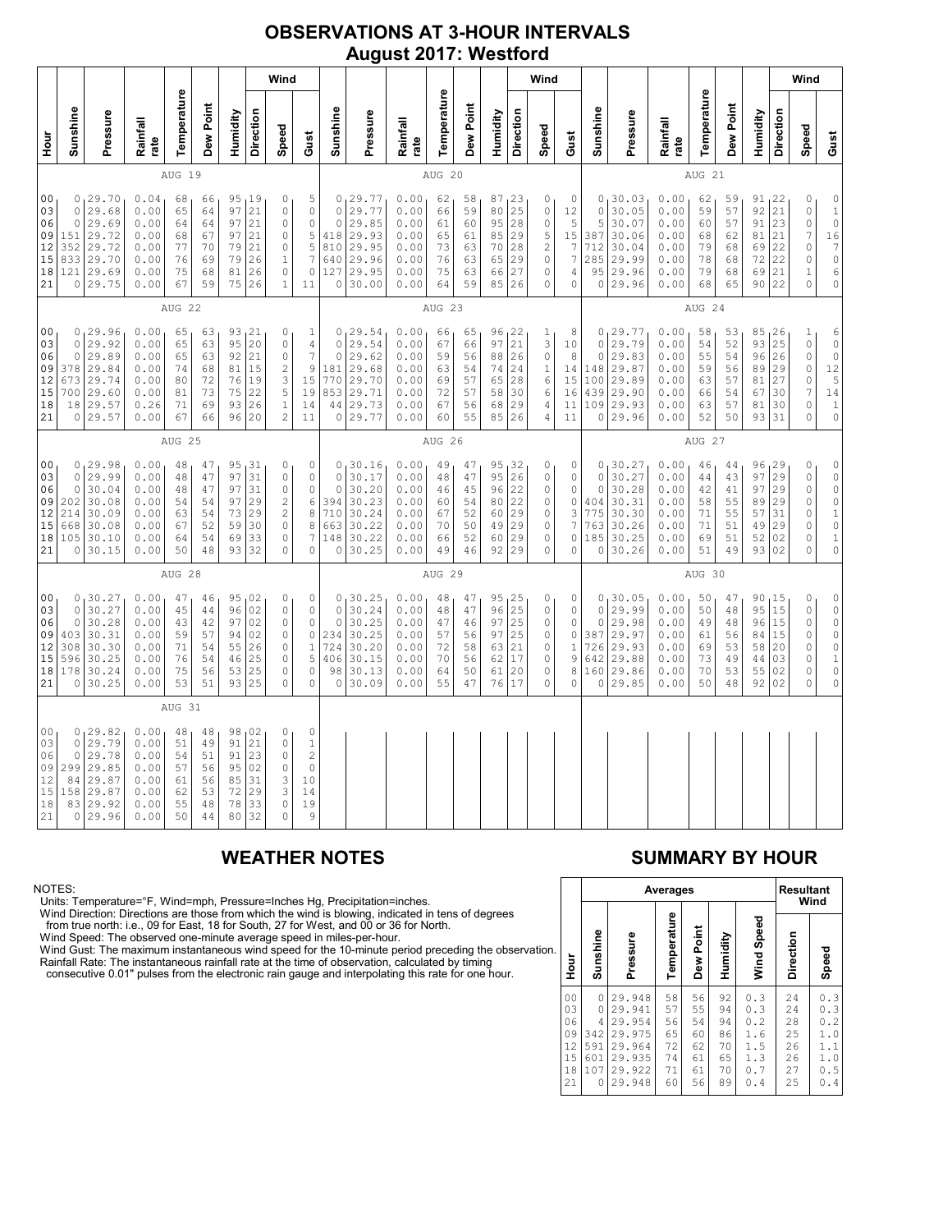### **OBSERVATIONS AT 3-HOUR INTERVALS August 2017: Westford**

|                                                          |                                                |                                                                           |                                                              |                                              |                                              |                                              |                                                  | Wind                                                               |                                                                                              |                                                                  |                                                                          |                                                              |                                              |                                              |                                              |                                                                             | Wind                                                                  |                                                  |                                                           |                                                                         |                                                              |                                              |                                              |                                                     |                                                                             | Wind                                                                                         |                                                                                                                           |
|----------------------------------------------------------|------------------------------------------------|---------------------------------------------------------------------------|--------------------------------------------------------------|----------------------------------------------|----------------------------------------------|----------------------------------------------|--------------------------------------------------|--------------------------------------------------------------------|----------------------------------------------------------------------------------------------|------------------------------------------------------------------|--------------------------------------------------------------------------|--------------------------------------------------------------|----------------------------------------------|----------------------------------------------|----------------------------------------------|-----------------------------------------------------------------------------|-----------------------------------------------------------------------|--------------------------------------------------|-----------------------------------------------------------|-------------------------------------------------------------------------|--------------------------------------------------------------|----------------------------------------------|----------------------------------------------|-----------------------------------------------------|-----------------------------------------------------------------------------|----------------------------------------------------------------------------------------------|---------------------------------------------------------------------------------------------------------------------------|
| no<br>H                                                  | Sunshine                                       | Pressure                                                                  | Rainfall<br>rate                                             | Temperature                                  | Dew Point                                    | Humidity                                     | Direction                                        | Speed                                                              | Gust                                                                                         | Sunshine                                                         | Pressure                                                                 | Rainfall<br>rate                                             | Temperature                                  | Dew Point                                    | Humidity                                     | Direction                                                                   | Speed                                                                 | Gust                                             | Sunshine                                                  | Pressure                                                                | Rainfall<br>rate                                             | Temperature                                  | Dew Point                                    | Humidity                                            | Direction                                                                   | Speed                                                                                        | Gust                                                                                                                      |
|                                                          |                                                |                                                                           |                                                              | AUG 19                                       |                                              |                                              |                                                  |                                                                    |                                                                                              |                                                                  |                                                                          |                                                              | AUG 20                                       |                                              |                                              |                                                                             |                                                                       |                                                  |                                                           |                                                                         |                                                              | AUG 21                                       |                                              |                                                     |                                                                             |                                                                                              |                                                                                                                           |
| 00<br>03<br>06<br>09<br>12<br>15<br>18<br>21             | $\circ$<br>$\circ$<br>151<br>352<br>833<br>121 | 0, 29.70<br>29.68<br>29.69<br>29.72<br>29.72<br>29.70<br>29.69<br>0 29.75 | 0.04<br>0.00<br>0.00<br>0.00<br>0.00<br>0.00<br>0.00<br>0.00 | 68<br>65<br>64<br>68<br>77<br>76<br>75<br>67 | 66<br>64<br>64<br>67<br>70<br>69<br>68<br>59 | 95<br>97<br>97<br>97<br>79<br>79<br>81<br>75 | 19<br>21<br>21<br>21<br>21<br>26<br>26<br>26     | 0<br>0<br>$\mathbf 0$<br>$\mathbf 0$<br>0<br>1<br>0<br>$1\,$       | 5<br>$\mathbb O$<br>$\mathbb O$<br>$\mathsf S$<br>5<br>$\boldsymbol{7}$<br>$\circ$<br>11     | $\circ$<br>$\circ$<br>418<br>810<br>640<br>127<br>$\circ$        | 0129.77<br>29.77<br>29.85<br>29.93<br>29.95<br>29.96<br>29.95<br>30.00   | 0.00<br>0.00<br>0.00<br>0.00<br>0.00<br>0.00<br>0.00<br>0.00 | 62<br>66<br>61<br>65<br>73<br>76<br>75<br>64 | 58<br>59<br>60<br>61<br>63<br>63<br>63<br>59 | 87<br>80<br>95<br>85<br>70<br>65<br>66<br>85 | 1 <sup>23</sup><br>25<br>28<br>29<br>28<br>29<br>27<br>26                   | 0<br>0<br>$\mathbb O$<br>5<br>$\overline{c}$<br>$\mathbb O$<br>0<br>0 | 0<br>12<br>5<br>15<br>7<br>7<br>4<br>0           | $\circ$<br>5<br>387<br>712<br>285<br>95<br>$\circ$        | 0, 30.03<br>30.05<br>30.07<br>30.06<br>30.04<br>29.99<br>29.96<br>29.96 | 0.00<br>0.00<br>0.00<br>0.00<br>0.00<br>0.00<br>0.00<br>0.00 | 62<br>59<br>60<br>68<br>79<br>78<br>79<br>68 | 59<br>57<br>57<br>62<br>68<br>68<br>68<br>65 | $91_122$<br>92<br>91<br>81<br>69<br>72<br>69<br>90  | 21<br>23<br>21<br>22<br>22<br>21<br>22                                      | 0<br>0<br>0<br>$\overline{7}$<br>0<br>0<br>1<br>$\circ$                                      | $\begin{matrix} 0 \\ 1 \\ 0 \end{matrix}$<br>$\frac{16}{7}$<br>$\circ$<br>$\epsilon$<br>$\mathbb O$                       |
|                                                          |                                                |                                                                           |                                                              | AUG 22                                       |                                              |                                              |                                                  |                                                                    |                                                                                              |                                                                  |                                                                          |                                                              | AUG 23                                       |                                              |                                              |                                                                             |                                                                       |                                                  |                                                           |                                                                         |                                                              | AUG 24                                       |                                              |                                                     |                                                                             |                                                                                              |                                                                                                                           |
| 00<br>03<br>06<br>09<br>12<br>15<br>18<br>21             | 0<br>$\circ$<br>378<br>673<br>700<br>18        | 0, 29.96<br>29.92<br>29.89<br>29.84<br>29.74<br>29.60<br>29.57<br>0 29.57 | 0.00<br>0.00<br>0.00<br>0.00<br>0.00<br>0.00<br>0.26<br>0.00 | 65<br>65<br>65<br>74<br>80<br>81<br>71<br>67 | 63<br>63<br>63<br>68<br>72<br>73<br>69<br>66 | 95<br>92<br>81<br>76<br>75<br>93<br>96       | 93 21<br>20<br>21<br>15<br>19<br>22<br>26<br>20  | 0<br>0<br>0<br>$\mathbf{2}$<br>3<br>5<br>$1\,$<br>$\overline{c}$   | 1<br>$\sqrt{4}$<br>7<br>9<br>15<br>19<br>14<br>11                                            | $\mathbf 0$<br>$\mathbf 0$<br>181<br>770<br>853<br>44<br>$\circ$ | 0, 29.54<br>29.54<br>29.62<br>29.68<br>29.70<br>29.71<br> 29.73<br>29.77 | 0.00<br>0.00<br>0.00<br>0.00<br>0.00<br>0.00<br>0.00<br>0.00 | 66<br>67<br>59<br>63<br>69<br>72<br>67<br>60 | 65<br>66<br>56<br>54<br>57<br>57<br>56<br>55 | 96<br>97<br>88<br>74<br>65<br>58<br>68<br>85 | $\begin{array}{c} 22 \\ 21 \end{array}$<br>26<br>24<br>28<br>30<br>29<br>26 | 1<br>3<br>0<br>$\mathbf 1$<br>6<br>6<br>4<br>4                        | 8<br>10<br>8<br>14<br>15<br>16<br>11<br>11       | $\circ$<br>$\circ$<br>148<br>100<br>439<br>109<br>$\circ$ | 0, 29.77<br>29.79<br>29.83<br>29.87<br>29.89<br>29.90<br>29.93<br>29.96 | 0.00<br>0.00<br>0.00<br>0.00<br>0.00<br>0.00<br>0.00<br>0.00 | 58<br>54<br>55<br>59<br>63<br>66<br>63<br>52 | 53<br>52<br>54<br>56<br>57<br>54<br>57<br>50 | 85<br>93<br>96<br>89<br>81<br>67<br>81<br>93        | $\begin{array}{c} 26 \\ 25 \end{array}$<br>26<br>29<br>27<br>30<br>30<br>31 | $\mathbf{1}$<br>$\mathbb O$<br>$\circ$<br>0<br>0<br>$\overline{7}$<br>$\mathbb O$<br>$\circ$ | $\begin{matrix} 6 \\ 0 \\ 0 \end{matrix}$<br>$\begin{array}{c}\n 12 \\  5 \\  14\n \end{array}$<br>$\,1\,$<br>$\mathbb O$ |
|                                                          |                                                |                                                                           |                                                              | AUG 25                                       |                                              |                                              |                                                  |                                                                    |                                                                                              |                                                                  |                                                                          |                                                              | AUG 26                                       |                                              |                                              |                                                                             |                                                                       |                                                  |                                                           |                                                                         |                                                              | AUG 27                                       |                                              |                                                     |                                                                             |                                                                                              |                                                                                                                           |
| 0 <sub>0</sub><br>03<br>06<br>09<br>12<br>15<br>18<br>21 | 0<br>$\circ$<br>202<br>214<br>668<br>105<br>0  | 0, 29.98<br>29.99<br>30.04<br>30.08<br>30.09<br>30.08<br>30.10<br>30.15   | 0.00<br>0.00<br>0.00<br>0.00<br>0.00<br>0.00<br>0.00<br>0.00 | 48<br>48<br>48<br>54<br>63<br>67<br>64<br>50 | 47<br>47<br>47<br>54<br>54<br>52<br>54<br>48 | 97<br>97<br>97<br>73<br>59<br>69<br>93       | 95, 31<br>31<br>31<br>29<br>29<br>30<br>33<br>32 | 0<br>0<br>0<br>2<br>$\overline{c}$<br>$\mathbf 0$<br>0<br>$\Omega$ | 0<br>$\mathbb O$<br>$\mathbb O$<br>6<br>$\,$ 8 $\,$<br>$\,8\,$<br>$\overline{7}$<br>$\Omega$ | $\mathbf 0$<br>$\circ$<br>394<br>710<br>663<br>148<br>$\circ$    | 0, 30.16<br>30.17<br>30.20<br>30.23<br>30.24<br>30.22<br>30.22<br>30.25  | 0.00<br>0.00<br>0.00<br>0.00<br>0.00<br>0.00<br>0.00<br>0.00 | 49<br>48<br>46<br>60<br>67<br>70<br>66<br>49 | 47<br>47<br>45<br>54<br>52<br>50<br>52<br>46 | 95<br>95<br>96<br>80<br>60<br>49<br>60<br>92 | 132<br>26<br>22<br>22<br>29<br>29<br>29<br>29                               | 0<br>0<br>0<br>0<br>0<br>0<br>0<br>0                                  | 0<br>0<br>0<br>$\circ$<br>3<br>7<br>$\circ$<br>0 | 0<br>$\circ$<br>404<br>775<br>763<br>185<br>0             | 0, 30.27<br>30.27<br>30.28<br>30.31<br>30.30<br>30.26<br>30.25<br>30.26 | 0.00<br>0.00<br>0.00<br>0.00<br>0.00<br>0.00<br>0.00<br>0.00 | 46<br>44<br>42<br>58<br>71<br>71<br>69<br>51 | 44<br>43<br>41<br>55<br>55<br>51<br>51<br>49 | 96, 29<br>97<br>97<br>89<br>57<br>49<br>52<br>93 02 | 29<br>29<br>29<br>31<br>29<br>02                                            | 0<br>0<br>0<br>0<br>0<br>0<br>$\mathbb O$<br>0                                               | $\mathbb O$<br>$\rm \dot{o}$<br>$\circ$<br>$\begin{smallmatrix}0\\1\end{smallmatrix}$<br>$\circ$<br>$\,1\,$<br>0          |
|                                                          |                                                |                                                                           |                                                              | AUG 28                                       |                                              |                                              |                                                  |                                                                    |                                                                                              |                                                                  |                                                                          |                                                              | AUG 29                                       |                                              |                                              |                                                                             |                                                                       |                                                  |                                                           |                                                                         |                                                              | AUG 30                                       |                                              |                                                     |                                                                             |                                                                                              |                                                                                                                           |
| 00<br>03<br>06<br>09<br>12<br>15<br>18<br>21             | 0<br>0<br>0<br>403<br>308<br>596<br>178<br>0   | 30.27<br>30.27<br>30.28<br>30.31<br>30.30<br>30.25<br>30.24<br>30.25      | 0.00<br>0.00<br>0.00<br>0.00<br>0.00<br>0.00<br>0.00<br>0.00 | 47<br>45<br>43<br>59<br>71<br>76<br>75<br>53 | 46<br>44<br>42<br>57<br>54<br>54<br>56<br>51 | 96<br>97<br>94<br>55<br>46<br>53<br>93       | 95,02<br>02<br>02<br>02<br>26<br>25<br>25<br>25  | 0<br>0<br>0<br>0<br>0<br>0<br>0<br>0                               | 0<br>$\mathbb O$<br>0<br>$\mathbb O$<br>$\,1\,$<br>5<br>$\circ$<br>0                         | $\circ$<br>$\mathbf 0$<br>234<br>724<br>406<br>98<br>0           | 0, 30.25<br>30.24<br>30.25<br>30.25<br>30.20<br>30.15<br>30.13<br>30.09  | 0.00<br>0.00<br>0.00<br>0.00<br>0.00<br>0.00<br>0.00<br>0.00 | 48<br>48<br>47<br>57<br>72<br>70<br>64<br>55 | 47<br>47<br>46<br>56<br>58<br>56<br>50<br>47 | 95<br>96<br>97<br>97<br>63<br>62<br>61<br>76 | 125<br>25<br>25<br>25<br>21<br>17<br>20<br>17                               | 0<br>0<br>0<br>0<br>0<br>0<br>$\mathsf{O}\xspace$<br>0                | 0<br>0<br>0<br>0<br>$\,1$<br>9<br>8<br>0         | $\circ$<br>$\circ$<br>387<br>726<br>642<br>160<br>0       | 0, 30.05<br>29.99<br>29.98<br>29.97<br>29.93<br>29.88<br>29.86<br>29.85 | 0.00<br>0.00<br>0.00<br>0.00<br>0.00<br>0.00<br>0.00<br>0.00 | 50<br>50<br>49<br>61<br>69<br>73<br>70<br>50 | 47<br>48<br>48<br>56<br>53<br>49<br>53<br>48 | 90<br>95<br>96<br>84<br>58<br>44<br>55<br>92        | 15<br>15<br>15<br>15<br>20<br>03<br>02<br>02                                | 0<br>$\mathbb O$<br>0<br>$\mathbb O$<br>$\mathbb O$<br>0<br>$\mathbb O$<br>$\circ$           | $\begin{matrix} 0 \\ 0 \end{matrix}$<br>$\circ$<br>$\mathbb O$<br>$\circ$<br>$\mathbf 1$<br>$\mathbb O$<br>$\circ$        |
|                                                          |                                                |                                                                           |                                                              | AUG 31                                       |                                              |                                              |                                                  |                                                                    |                                                                                              |                                                                  |                                                                          |                                                              |                                              |                                              |                                              |                                                                             |                                                                       |                                                  |                                                           |                                                                         |                                                              |                                              |                                              |                                                     |                                                                             |                                                                                              |                                                                                                                           |
| 0 <sub>0</sub><br>03<br>06<br>09<br>12<br>15<br>18<br>21 | 0<br>0<br>0<br>299<br>84<br>158<br>83<br>0     | 129.82<br>29.79<br>29.78<br>29.85<br>29.87<br>29.87<br>29.92<br>29.96     | 0.00<br>0.00<br>0.00<br>0.00<br>0.00<br>0.00<br>0.00<br>0.00 | 48<br>51<br>54<br>57<br>61<br>62<br>55<br>50 | 48<br>49<br>51<br>56<br>56<br>53<br>48<br>44 | 91<br>91<br>95<br>85<br>72<br>78<br>80       | 98,02<br>21<br>23<br>02<br>31<br>29<br>33<br>32  | 0<br>0<br>0<br>0<br>3<br>3<br>$\mathbf 0$<br>$\Omega$              | 0<br>1<br>$\overline{c}$<br>$\circ$<br>10<br>14<br>19<br>9                                   |                                                                  |                                                                          |                                                              |                                              |                                              |                                              |                                                                             |                                                                       |                                                  |                                                           |                                                                         |                                                              |                                              |                                              |                                                     |                                                                             |                                                                                              |                                                                                                                           |

NOTES:<br>Units: Temperature=°F, Wind=mph, Pressure=Inches Hg, Precipitation=inches.<br>Units: Temperature=°F, Wind=mph, Pressure=Inches Hg, Precipitation=inches.<br>
Yind Direction: Directions are those from which the wind is blow

# **WEATHER NOTES SUMMARY BY HOUR**

|    |                                                          |                                                     | Averages                                                                     | <b>Resultant</b><br>Wind                     |                                              |                                              |                                                                 |                                              |                                                                         |
|----|----------------------------------------------------------|-----------------------------------------------------|------------------------------------------------------------------------------|----------------------------------------------|----------------------------------------------|----------------------------------------------|-----------------------------------------------------------------|----------------------------------------------|-------------------------------------------------------------------------|
| n. | Hour                                                     | Sunshine                                            | Pressure                                                                     | Temperature                                  | Dew Point                                    | Humidity                                     | Wind Speed                                                      | Direction                                    | Speed                                                                   |
|    | 0 <sub>0</sub><br>03<br>06<br>09<br>12<br>15<br>18<br>21 | 0<br>$\Omega$<br>4<br>342<br>591<br>601<br>107<br>Λ | 29.948<br>29.941<br>29.954<br>29.975<br>29.964<br>29.935<br>29.922<br>29.948 | 58<br>57<br>56<br>65<br>72<br>74<br>71<br>60 | 56<br>55<br>54<br>60<br>62<br>61<br>61<br>56 | 92<br>94<br>94<br>86<br>70<br>65<br>70<br>89 | 0.3<br>0.3<br>$\cdot$ 2<br>0<br>1.6<br>1.5<br>1.3<br>0.7<br>0.4 | 24<br>24<br>28<br>25<br>26<br>26<br>27<br>25 | 0.3<br>0.3<br>0<br>$\cdot$ 2<br>1.0<br>1.1<br>1.0<br>0<br>.5<br>0<br>.4 |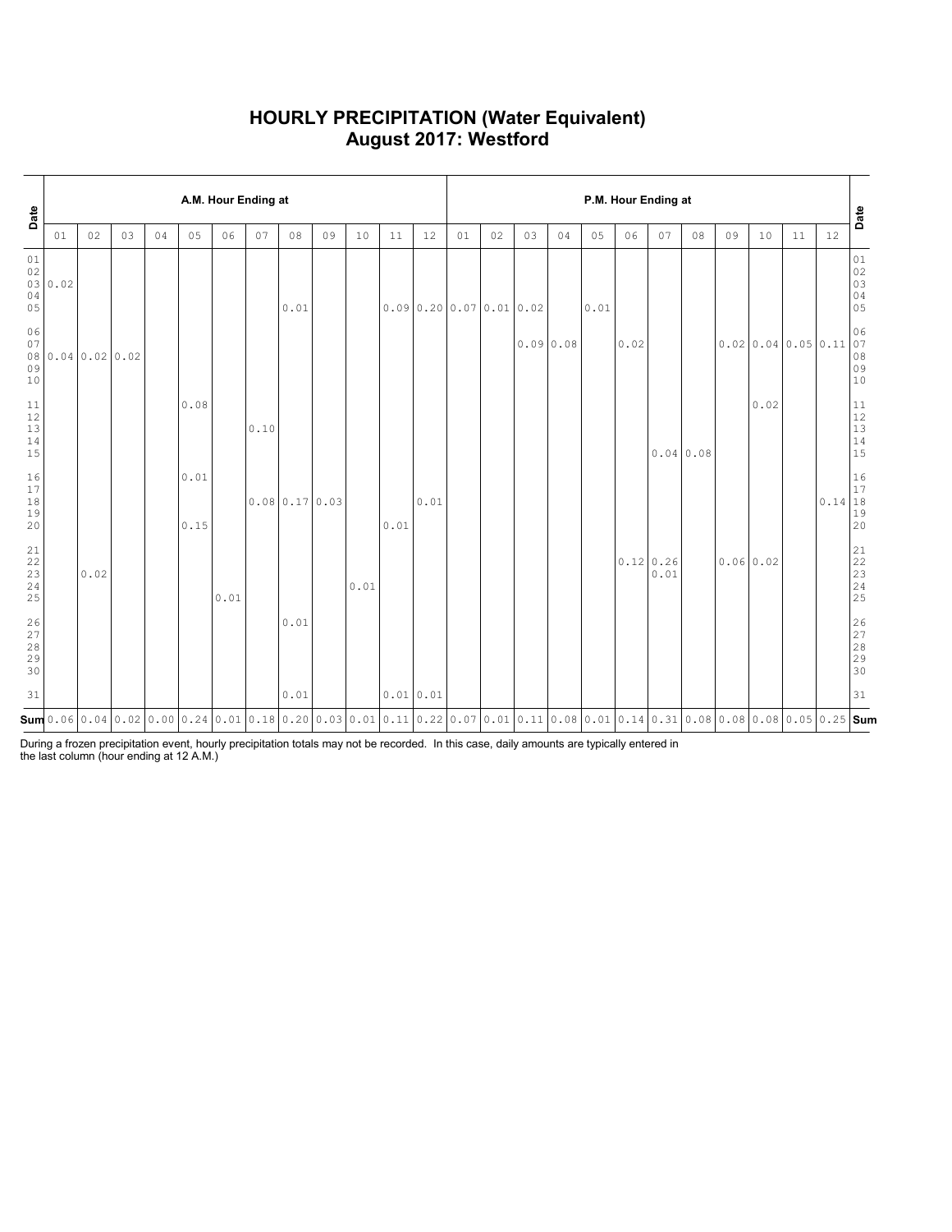### **HOURLY PRECIPITATION (Water Equivalent) August 2017: Westford**

| Date                                                      |         | A.M. Hour Ending at |              |    |              |      |      |                            |    |      |           |      |                       |    | P.M. Hour Ending at |    |      |      |                          |    |           |      |                                      |                                               |                                                               |  |  |
|-----------------------------------------------------------|---------|---------------------|--------------|----|--------------|------|------|----------------------------|----|------|-----------|------|-----------------------|----|---------------------|----|------|------|--------------------------|----|-----------|------|--------------------------------------|-----------------------------------------------|---------------------------------------------------------------|--|--|
|                                                           | 01      | 02                  | 03           | 04 | 05           | 06   | 07   | 08                         | 09 | 10   | 11        | 12   | 01                    | 02 | 03                  | 04 | 05   | 06   | 07                       | 08 | 09        | 10   | 11                                   | 12                                            | Date                                                          |  |  |
| 01<br>02<br>04<br>05                                      | 03 0.02 |                     |              |    |              |      |      | 0.01                       |    |      |           |      | 0.090.2000.070.010.02 |    |                     |    | 0.01 |      |                          |    |           |      |                                      |                                               | $0\,1$<br>02<br>03<br>$\begin{array}{c} 04 \\ 05 \end{array}$ |  |  |
| 06<br>07<br>08<br>09<br>10                                |         |                     | 0.040.020.02 |    |              |      |      |                            |    |      |           |      |                       |    | 0.090.08            |    |      | 0.02 |                          |    |           |      | $0.02 \mid 0.04 \mid 0.05 \mid 0.11$ |                                               | 06<br>$\begin{bmatrix} 07 \\ 08 \\ 09 \end{bmatrix}$<br>10    |  |  |
| 11<br>12<br>13<br>14<br>15                                |         |                     |              |    | 0.08         |      | 0.10 |                            |    |      |           |      |                       |    |                     |    |      |      | 0.040.08                 |    |           | 0.02 |                                      |                                               | 11<br>$\begin{array}{c} 12 \\ 13 \end{array}$<br>14<br>15     |  |  |
| 16<br>17<br>$1\,8$<br>19<br>20                            |         |                     |              |    | 0.01<br>0.15 |      |      | $0.08 \mid 0.17 \mid 0.03$ |    |      | 0.01      | 0.01 |                       |    |                     |    |      |      |                          |    |           |      |                                      | $0.14 \begin{vmatrix} 17 \\ 18 \end{vmatrix}$ | 16<br>19<br>20                                                |  |  |
| 21<br>22<br>$\frac{23}{24}$<br>25                         |         | 0.02                |              |    |              | 0.01 |      |                            |    | 0.01 |           |      |                       |    |                     |    |      |      | $0.12 \mid 0.26$<br>0.01 |    | 0.06 0.02 |      |                                      |                                               | 21<br>22<br>$\frac{23}{24}$<br>24<br>25                       |  |  |
| $\begin{array}{c} 26 \\ 27 \end{array}$<br>28<br>29<br>30 |         |                     |              |    |              |      |      | $0\,$ . $0\,1$             |    |      |           |      |                       |    |                     |    |      |      |                          |    |           |      |                                      |                                               | 26<br>27<br>$28$<br>$29$<br>$30$                              |  |  |
| 31                                                        |         |                     |              |    |              |      |      | 0.01                       |    |      | 0.01 0.01 |      |                       |    |                     |    |      |      |                          |    |           |      |                                      |                                               | 31                                                            |  |  |
|                                                           |         |                     |              |    |              |      |      |                            |    |      |           |      |                       |    |                     |    |      |      |                          |    |           |      |                                      |                                               |                                                               |  |  |

During a frozen precipitation event, hourly precipitation totals may not be recorded. In this case, daily amounts are typically entered in the last column (hour ending at 12 A.M.)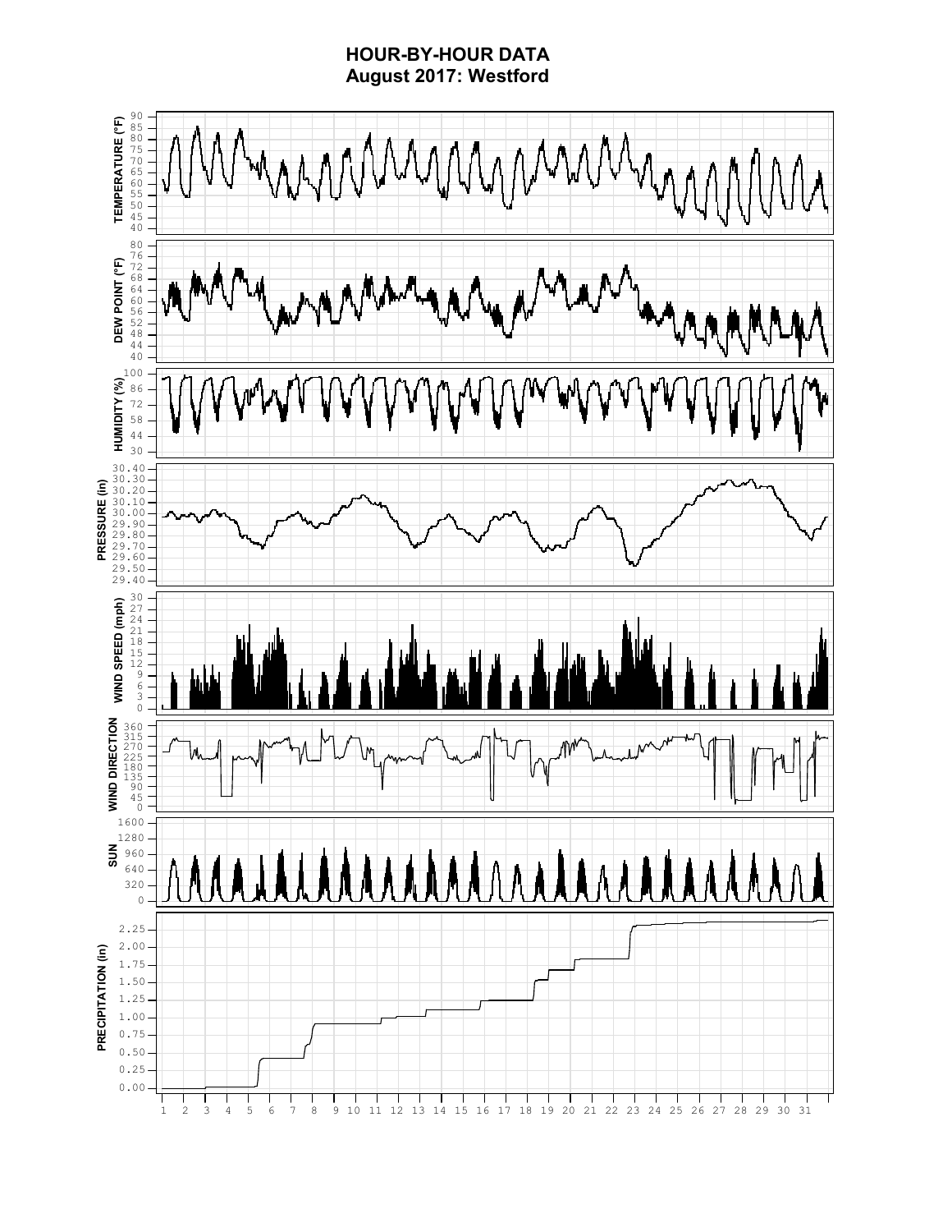### **HOUR-BY-HOUR DATA August 2017: Westford**